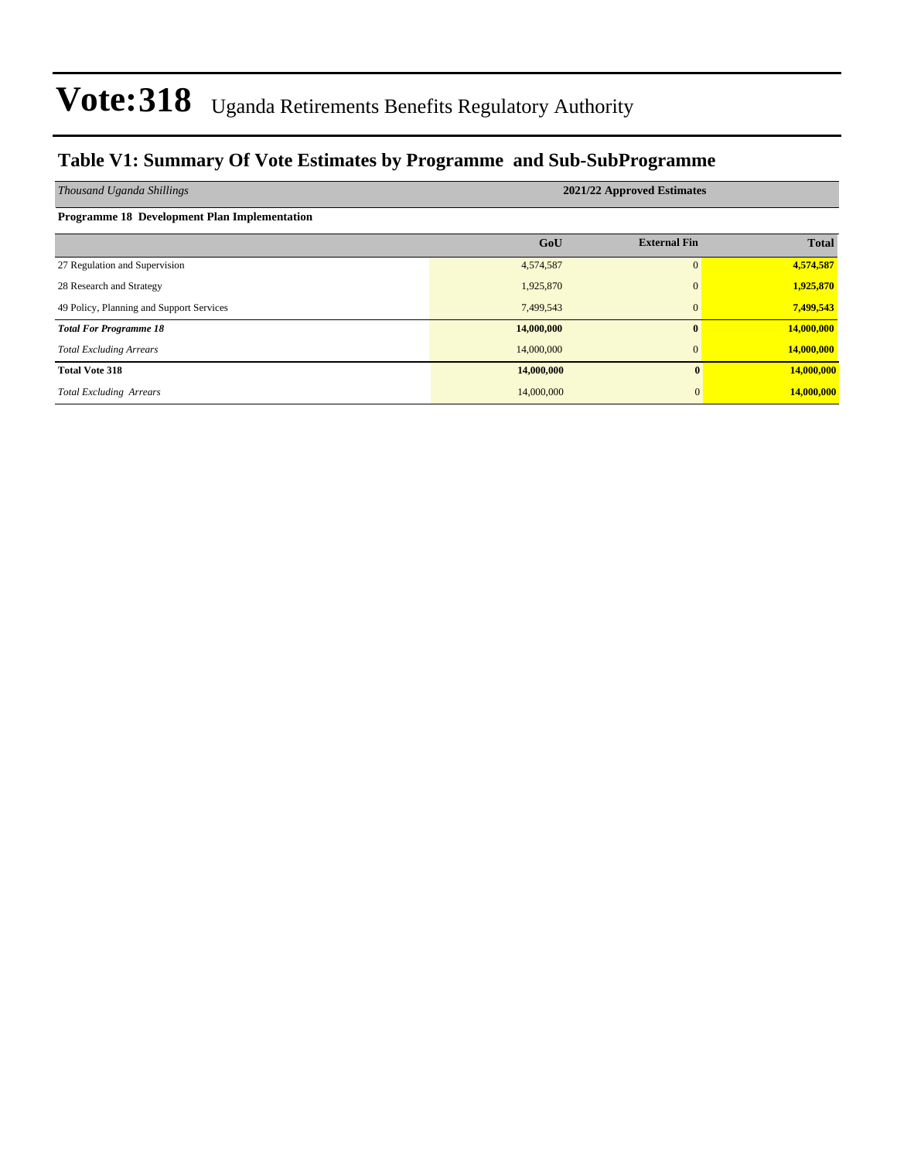### **Table V1: Summary Of Vote Estimates by Programme and Sub-SubProgramme**

| Thousand Uganda Shillings                           | 2021/22 Approved Estimates |                     |              |  |  |  |  |  |  |
|-----------------------------------------------------|----------------------------|---------------------|--------------|--|--|--|--|--|--|
| <b>Programme 18 Development Plan Implementation</b> |                            |                     |              |  |  |  |  |  |  |
|                                                     | GoU                        | <b>External Fin</b> | <b>Total</b> |  |  |  |  |  |  |
| 27 Regulation and Supervision                       | 4,574,587                  |                     | 4,574,587    |  |  |  |  |  |  |
| 28 Research and Strategy                            | 1,925,870                  |                     | 1,925,870    |  |  |  |  |  |  |
| 49 Policy, Planning and Support Services            | 7,499,543                  |                     | 7,499,543    |  |  |  |  |  |  |
| <b>Total For Programme 18</b>                       | 14,000,000                 |                     | 14,000,000   |  |  |  |  |  |  |
| <b>Total Excluding Arrears</b>                      | 14,000,000                 |                     | 14,000,000   |  |  |  |  |  |  |
| <b>Total Vote 318</b>                               | 14,000,000                 | $\mathbf{0}$        | 14,000,000   |  |  |  |  |  |  |
| <b>Total Excluding Arrears</b>                      | 14,000,000                 | $\overline{0}$      | 14,000,000   |  |  |  |  |  |  |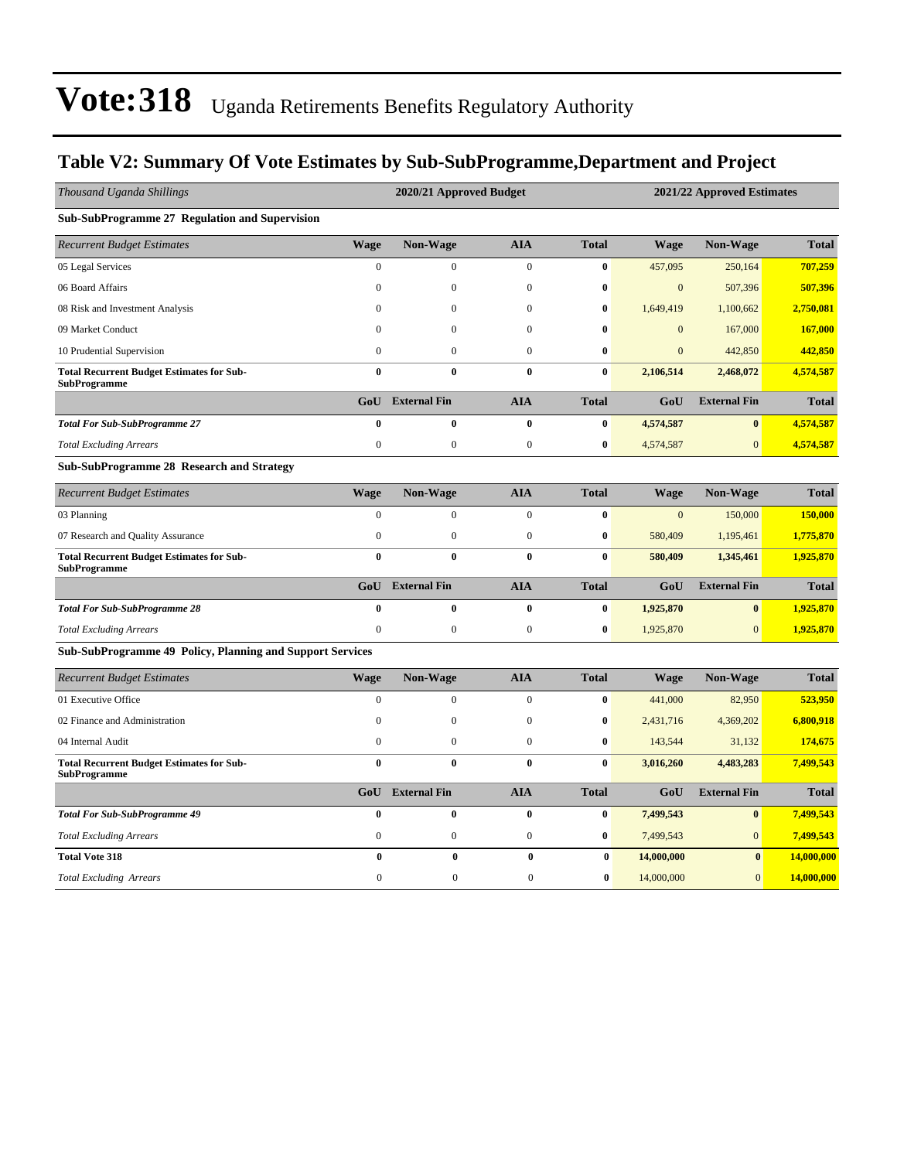### **Table V2: Summary Of Vote Estimates by Sub-SubProgramme,Department and Project**

| Thousand Uganda Shillings                                               |                  | 2020/21 Approved Budget |                  |              |              | 2021/22 Approved Estimates |              |
|-------------------------------------------------------------------------|------------------|-------------------------|------------------|--------------|--------------|----------------------------|--------------|
| Sub-SubProgramme 27 Regulation and Supervision                          |                  |                         |                  |              |              |                            |              |
| <b>Recurrent Budget Estimates</b>                                       | <b>Wage</b>      | <b>Non-Wage</b>         | <b>AIA</b>       | <b>Total</b> | <b>Wage</b>  | <b>Non-Wage</b>            | <b>Total</b> |
| 05 Legal Services                                                       | $\mathbf{0}$     | $\mathbf{0}$            | $\boldsymbol{0}$ | $\bf{0}$     | 457,095      | 250,164                    | 707,259      |
| 06 Board Affairs                                                        | $\mathbf{0}$     | $\mathbf{0}$            | $\mathbf{0}$     | 0            | $\mathbf{0}$ | 507,396                    | 507,396      |
| 08 Risk and Investment Analysis                                         | $\mathbf{0}$     | 0                       | $\boldsymbol{0}$ | 0            | 1,649,419    | 1,100,662                  | 2,750,081    |
| 09 Market Conduct                                                       | $\Omega$         | $\Omega$                | $\boldsymbol{0}$ | 0            | $\mathbf{0}$ | 167,000                    | 167,000      |
| 10 Prudential Supervision                                               | $\mathbf{0}$     | $\mathbf{0}$            | $\mathbf{0}$     | 0            | $\mathbf{0}$ | 442,850                    | 442,850      |
| <b>Total Recurrent Budget Estimates for Sub-</b><br><b>SubProgramme</b> | $\bf{0}$         | $\bf{0}$                | $\bf{0}$         | $\bf{0}$     | 2,106,514    | 2,468,072                  | 4,574,587    |
|                                                                         | GoU              | <b>External Fin</b>     | <b>AIA</b>       | <b>Total</b> | GoU          | <b>External Fin</b>        | <b>Total</b> |
| <b>Total For Sub-SubProgramme 27</b>                                    | $\bf{0}$         | $\bf{0}$                | $\bf{0}$         | $\bf{0}$     | 4,574,587    | $\bf{0}$                   | 4,574,587    |
| <b>Total Excluding Arrears</b>                                          | $\boldsymbol{0}$ | $\boldsymbol{0}$        | $\boldsymbol{0}$ | 0            | 4,574,587    | $\mathbf{0}$               | 4,574,587    |
| <b>Sub-SubProgramme 28 Research and Strategy</b>                        |                  |                         |                  |              |              |                            |              |
| <b>Recurrent Budget Estimates</b>                                       | <b>Wage</b>      | Non-Wage                | <b>AIA</b>       | <b>Total</b> | <b>Wage</b>  | Non-Wage                   | <b>Total</b> |
| 03 Planning                                                             | $\theta$         | $\Omega$                | $\theta$         | $\bf{0}$     | $\mathbf{0}$ | 150,000                    | 150,000      |
| 07 Research and Quality Assurance                                       | $\mathbf{0}$     | $\boldsymbol{0}$        | $\mathbf{0}$     | 0            | 580,409      | 1,195,461                  | 1,775,870    |
| <b>Total Recurrent Budget Estimates for Sub-</b><br><b>SubProgramme</b> | $\bf{0}$         | $\bf{0}$                | $\bf{0}$         | $\bf{0}$     | 580,409      | 1,345,461                  | 1,925,870    |
|                                                                         | GoU              | <b>External Fin</b>     | <b>AIA</b>       | <b>Total</b> | GoU          | <b>External Fin</b>        | <b>Total</b> |
| <b>Total For Sub-SubProgramme 28</b>                                    | $\bf{0}$         | $\bf{0}$                | $\bf{0}$         | $\bf{0}$     | 1,925,870    | $\bf{0}$                   | 1,925,870    |
| <b>Total Excluding Arrears</b>                                          | $\boldsymbol{0}$ | $\boldsymbol{0}$        | $\boldsymbol{0}$ | 0            | 1,925,870    | $\mathbf{0}$               | 1,925,870    |
| <b>Sub-SubProgramme 49 Policy, Planning and Support Services</b>        |                  |                         |                  |              |              |                            |              |
| <b>Recurrent Budget Estimates</b>                                       | <b>Wage</b>      | Non-Wage                | <b>AIA</b>       | <b>Total</b> | <b>Wage</b>  | Non-Wage                   | <b>Total</b> |
| 01 Executive Office                                                     | $\theta$         | $\mathbf{0}$            | $\overline{0}$   | $\bf{0}$     | 441,000      | 82,950                     | 523,950      |
| 02 Finance and Administration                                           | $\mathbf{0}$     | $\mathbf{0}$            | $\mathbf{0}$     | $\bf{0}$     | 2,431,716    | 4,369,202                  | 6,800,918    |
| 04 Internal Audit                                                       | $\mathbf{0}$     | $\mathbf{0}$            | $\mathbf{0}$     | 0            | 143,544      | 31,132                     | 174,675      |
| <b>Total Recurrent Budget Estimates for Sub-</b><br><b>SubProgramme</b> | $\bf{0}$         | $\bf{0}$                | $\bf{0}$         | $\bf{0}$     | 3,016,260    | 4,483,283                  | 7,499,543    |
|                                                                         | GoU              | <b>External Fin</b>     | <b>AIA</b>       | <b>Total</b> | GoU          | <b>External Fin</b>        | <b>Total</b> |
| <b>Total For Sub-SubProgramme 49</b>                                    | $\bf{0}$         | $\bf{0}$                | $\bf{0}$         | 0            | 7,499,543    | $\bf{0}$                   | 7,499,543    |
| <b>Total Excluding Arrears</b>                                          | $\boldsymbol{0}$ | $\boldsymbol{0}$        | $\boldsymbol{0}$ | 0            | 7,499,543    | $\mathbf{0}$               | 7,499,543    |
| <b>Total Vote 318</b>                                                   | $\bf{0}$         | $\bf{0}$                | $\bf{0}$         | $\bf{0}$     | 14,000,000   | $\bf{0}$                   | 14,000,000   |
| <b>Total Excluding Arrears</b>                                          | $\mathbf{0}$     | $\overline{0}$          | $\overline{0}$   | $\bf{0}$     | 14,000,000   | $\boldsymbol{0}$           | 14,000,000   |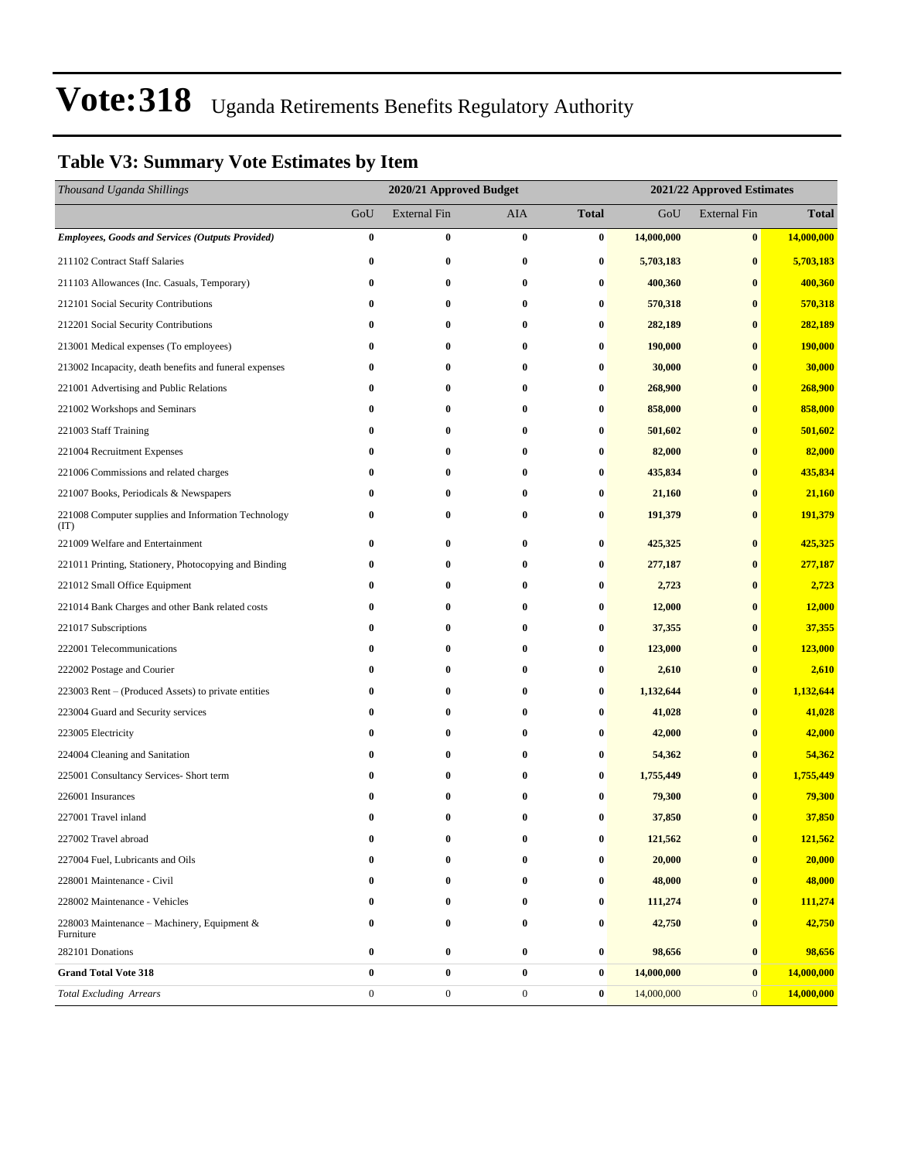### **Table V3: Summary Vote Estimates by Item**

| Thousand Uganda Shillings                                   |                  | 2020/21 Approved Budget |                  |              | 2021/22 Approved Estimates |                     |              |  |
|-------------------------------------------------------------|------------------|-------------------------|------------------|--------------|----------------------------|---------------------|--------------|--|
|                                                             | GoU              | <b>External Fin</b>     | AIA              | <b>Total</b> | GoU                        | <b>External Fin</b> | <b>Total</b> |  |
| <b>Employees, Goods and Services (Outputs Provided)</b>     | $\bf{0}$         | $\bf{0}$                | $\bf{0}$         | 0            | 14,000,000                 | $\bf{0}$            | 14,000,000   |  |
| 211102 Contract Staff Salaries                              | $\bf{0}$         | $\bf{0}$                | 0                | $\bf{0}$     | 5,703,183                  | $\bf{0}$            | 5,703,183    |  |
| 211103 Allowances (Inc. Casuals, Temporary)                 | $\bf{0}$         | $\bf{0}$                | $\bf{0}$         | 0            | 400,360                    | $\bf{0}$            | 400,360      |  |
| 212101 Social Security Contributions                        | 0                | $\bf{0}$                | $\bf{0}$         | 0            | 570,318                    | $\bf{0}$            | 570,318      |  |
| 212201 Social Security Contributions                        | $\bf{0}$         | 0                       | $\bf{0}$         | 0            | 282,189                    | $\bf{0}$            | 282,189      |  |
| 213001 Medical expenses (To employees)                      | $\bf{0}$         | $\bf{0}$                | $\bf{0}$         | $\bf{0}$     | 190,000                    | $\bf{0}$            | 190,000      |  |
| 213002 Incapacity, death benefits and funeral expenses      | $\bf{0}$         | 0                       | $\bf{0}$         | 0            | 30,000                     | $\bf{0}$            | 30,000       |  |
| 221001 Advertising and Public Relations                     | $\bf{0}$         | 0                       | $\bf{0}$         | 0            | 268,900                    | $\bf{0}$            | 268,900      |  |
| 221002 Workshops and Seminars                               | $\bf{0}$         | $\bf{0}$                | $\bf{0}$         | 0            | 858,000                    | $\bf{0}$            | 858,000      |  |
| 221003 Staff Training                                       | $\bf{0}$         | 0                       | $\bf{0}$         | 0            | 501,602                    | $\bf{0}$            | 501,602      |  |
| 221004 Recruitment Expenses                                 | $\bf{0}$         | $\bf{0}$                | $\bf{0}$         | $\bf{0}$     | 82,000                     | $\bf{0}$            | 82,000       |  |
| 221006 Commissions and related charges                      | $\bf{0}$         | 0                       | $\bf{0}$         | 0            | 435,834                    | $\bf{0}$            | 435,834      |  |
| 221007 Books, Periodicals & Newspapers                      | 0                | $\bf{0}$                | $\bf{0}$         | $\bf{0}$     | 21,160                     | $\bf{0}$            | 21,160       |  |
| 221008 Computer supplies and Information Technology<br>(TT) | 0                | $\bf{0}$                | $\bf{0}$         | 0            | 191,379                    | $\bf{0}$            | 191,379      |  |
| 221009 Welfare and Entertainment                            | $\bf{0}$         | $\bf{0}$                | 0                | $\bf{0}$     | 425,325                    | $\bf{0}$            | 425,325      |  |
| 221011 Printing, Stationery, Photocopying and Binding       | 0                | 0                       | $\bf{0}$         | 0            | 277,187                    | $\bf{0}$            | 277,187      |  |
| 221012 Small Office Equipment                               | 0                | 0                       | $\bf{0}$         | 0            | 2,723                      | $\bf{0}$            | 2,723        |  |
| 221014 Bank Charges and other Bank related costs            | $\bf{0}$         | $\bf{0}$                | 0                | 0            | 12,000                     | $\bf{0}$            | 12,000       |  |
| 221017 Subscriptions                                        | $\bf{0}$         | $\bf{0}$                | $\bf{0}$         | $\bf{0}$     | 37,355                     | $\bf{0}$            | 37,355       |  |
| 222001 Telecommunications                                   | $\bf{0}$         | $\bf{0}$                | $\bf{0}$         | $\bf{0}$     | 123,000                    | $\bf{0}$            | 123,000      |  |
| 222002 Postage and Courier                                  | 0                | 0                       | $\bf{0}$         | 0            | 2,610                      | $\bf{0}$            | 2,610        |  |
| 223003 Rent - (Produced Assets) to private entities         | 0                | 0                       | $\bf{0}$         | 0            | 1,132,644                  | $\bf{0}$            | 1,132,644    |  |
| 223004 Guard and Security services                          | 0                | $\bf{0}$                | $\bf{0}$         | 0            | 41,028                     | $\bf{0}$            | 41,028       |  |
| 223005 Electricity                                          | $\bf{0}$         | $\bf{0}$                | $\bf{0}$         | $\bf{0}$     | 42,000                     | $\bf{0}$            | 42,000       |  |
| 224004 Cleaning and Sanitation                              | $\bf{0}$         | $\bf{0}$                | $\bf{0}$         | $\bf{0}$     | 54,362                     | $\bf{0}$            | 54,362       |  |
| 225001 Consultancy Services- Short term                     | 0                | $\bf{0}$                | $\bf{0}$         | 0            | 1,755,449                  | $\bf{0}$            | 1,755,449    |  |
| 226001 Insurances                                           | 0                | 0                       | $\bf{0}$         | 0            | 79,300                     | $\bf{0}$            | 79,300       |  |
| 227001 Travel inland                                        | $\bf{0}$         | $\bf{0}$                | $\bf{0}$         | 0            | 37,850                     | $\bf{0}$            | 37,850       |  |
| 227002 Travel abroad                                        | 0                | $\bf{0}$                | $\bf{0}$         | 0            | 121,562                    | $\bf{0}$            | 121,562      |  |
| 227004 Fuel, Lubricants and Oils                            | 0                | $\bf{0}$                | 0                | $\bf{0}$     | 20,000                     | $\bf{0}$            | 20,000       |  |
| 228001 Maintenance - Civil                                  | 0                | 0                       | $\bf{0}$         | 0            | 48,000                     | $\bf{0}$            | 48,000       |  |
| 228002 Maintenance - Vehicles                               | 0                | 0                       | $\bf{0}$         | 0            | 111,274                    | $\bf{0}$            | 111,274      |  |
| 228003 Maintenance – Machinery, Equipment &<br>Furniture    | 0                | $\bf{0}$                | $\bf{0}$         | 0            | 42,750                     | $\bf{0}$            | 42,750       |  |
| 282101 Donations                                            | 0                | $\bf{0}$                | $\bf{0}$         | 0            | 98,656                     | $\bf{0}$            | 98,656       |  |
| <b>Grand Total Vote 318</b>                                 | $\bf{0}$         | $\bf{0}$                | $\bf{0}$         | 0            | 14,000,000                 | $\bf{0}$            | 14,000,000   |  |
| <b>Total Excluding Arrears</b>                              | $\boldsymbol{0}$ | $\boldsymbol{0}$        | $\boldsymbol{0}$ | $\bf{0}$     | 14,000,000                 | $\mathbf{0}$        | 14,000,000   |  |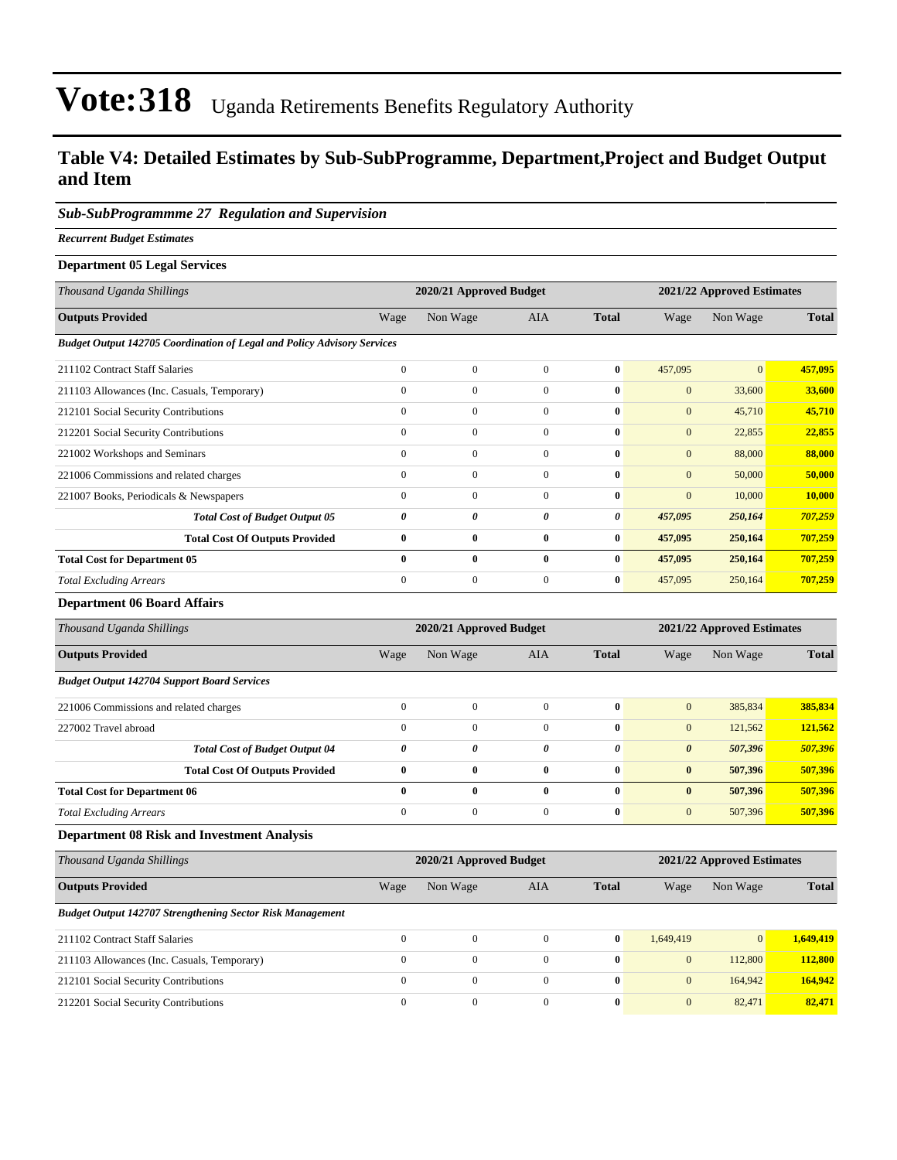#### **Table V4: Detailed Estimates by Sub-SubProgramme, Department,Project and Budget Output and Item**

#### *Sub-SubProgrammme 27 Regulation and Supervision*

*Recurrent Budget Estimates*

| <b>Department 05 Legal Services</b>                                            |                  |                         |              |              |                            |                            |              |  |
|--------------------------------------------------------------------------------|------------------|-------------------------|--------------|--------------|----------------------------|----------------------------|--------------|--|
| Thousand Uganda Shillings                                                      |                  | 2020/21 Approved Budget |              |              | 2021/22 Approved Estimates |                            |              |  |
| <b>Outputs Provided</b>                                                        | Wage             | Non Wage                | <b>AIA</b>   | <b>Total</b> | Wage                       | Non Wage                   | <b>Total</b> |  |
| <b>Budget Output 142705 Coordination of Legal and Policy Advisory Services</b> |                  |                         |              |              |                            |                            |              |  |
| 211102 Contract Staff Salaries                                                 | $\mathbf{0}$     | $\mathbf{0}$            | $\mathbf{0}$ | $\bf{0}$     | 457,095                    | $\mathbf{0}$               | 457,095      |  |
| 211103 Allowances (Inc. Casuals, Temporary)                                    | $\mathbf{0}$     | $\boldsymbol{0}$        | $\mathbf{0}$ | $\bf{0}$     | $\mathbf{0}$               | 33,600                     | 33,600       |  |
| 212101 Social Security Contributions                                           | $\boldsymbol{0}$ | $\boldsymbol{0}$        | $\mathbf{0}$ | 0            | $\mathbf{0}$               | 45,710                     | 45,710       |  |
| 212201 Social Security Contributions                                           | $\mathbf{0}$     | $\boldsymbol{0}$        | $\mathbf{0}$ | 0            | $\mathbf{0}$               | 22,855                     | 22,855       |  |
| 221002 Workshops and Seminars                                                  | $\mathbf{0}$     | $\mathbf{0}$            | $\mathbf{0}$ | 0            | $\mathbf{0}$               | 88,000                     | 88,000       |  |
| 221006 Commissions and related charges                                         | $\mathbf{0}$     | $\mathbf{0}$            | $\Omega$     | 0            | $\mathbf{0}$               | 50,000                     | 50,000       |  |
| 221007 Books, Periodicals & Newspapers                                         | $\mathbf{0}$     | $\boldsymbol{0}$        | $\mathbf{0}$ | 0            | $\boldsymbol{0}$           | 10,000                     | 10,000       |  |
| <b>Total Cost of Budget Output 05</b>                                          | 0                | 0                       | 0            | 0            | 457,095                    | 250,164                    | 707,259      |  |
| <b>Total Cost Of Outputs Provided</b>                                          | $\bf{0}$         | $\bf{0}$                | $\bf{0}$     | $\bf{0}$     | 457,095                    | 250,164                    | 707,259      |  |
| <b>Total Cost for Department 05</b>                                            | $\bf{0}$         | $\bf{0}$                | $\bf{0}$     | $\bf{0}$     | 457,095                    | 250,164                    | 707,259      |  |
| <b>Total Excluding Arrears</b>                                                 | $\mathbf{0}$     | $\boldsymbol{0}$        | $\mathbf{0}$ | $\bf{0}$     | 457,095                    | 250,164                    | 707,259      |  |
| <b>Department 06 Board Affairs</b>                                             |                  |                         |              |              |                            |                            |              |  |
| Thousand Uganda Shillings                                                      |                  | 2020/21 Approved Budget |              |              |                            | 2021/22 Approved Estimates |              |  |
| <b>Outputs Provided</b>                                                        | Wage             | Non Wage                | <b>AIA</b>   | <b>Total</b> | Wage                       | Non Wage                   | <b>Total</b> |  |

### *Budget Output 142704 Support Board Services*

| 221006 Commissions and related charges |  |   | $\mathbf{0}$ | $\mathbf{0}$          | 385,834 | 385,834 |
|----------------------------------------|--|---|--------------|-----------------------|---------|---------|
| 227002 Travel abroad                   |  |   | $\mathbf{0}$ | $\mathbf{0}$          | 121.562 | 121,562 |
| <b>Total Cost of Budget Output 04</b>  |  |   | 0            | $\boldsymbol{\theta}$ | 507.396 | 507,396 |
| <b>Total Cost Of Outputs Provided</b>  |  |   | $\mathbf{0}$ | $\bf{0}$              | 507.396 | 507.396 |
| <b>Total Cost for Department 06</b>    |  | 0 | $\mathbf{0}$ | $\bf{0}$              | 507.396 | 507,396 |
| <b>Total Excluding Arrears</b>         |  |   |              | $\overline{0}$        | 507.396 | 507,396 |

#### **Department 08 Risk and Investment Analysis**

| Thousand Uganda Shillings                                        | 2020/21 Approved Budget |              |          |              |              | 2021/22 Approved Estimates |              |  |
|------------------------------------------------------------------|-------------------------|--------------|----------|--------------|--------------|----------------------------|--------------|--|
| <b>Outputs Provided</b>                                          | Wage                    | Non Wage     | AIA      | <b>Total</b> | Wage         | Non Wage                   | <b>Total</b> |  |
| <b>Budget Output 142707 Strengthening Sector Risk Management</b> |                         |              |          |              |              |                            |              |  |
| 211102 Contract Staff Salaries                                   | $\Omega$                | $\Omega$     | $\Omega$ | $\mathbf{0}$ | 1.649.419    | $\vert 0 \vert$            | 1.649,419    |  |
| 211103 Allowances (Inc. Casuals, Temporary)                      | $\Omega$                | $\Omega$     | $\Omega$ | $\mathbf{0}$ | $\mathbf{0}$ | 112,800                    | 112,800      |  |
| 212101 Social Security Contributions                             | $\mathbf{0}$            | $\mathbf{0}$ | $\Omega$ | $\mathbf{0}$ | $\mathbf{0}$ | 164,942                    | 164,942      |  |
| 212201 Social Security Contributions                             | $\Omega$                | $\Omega$     | $\Omega$ | $\mathbf{0}$ | $\mathbf{0}$ | 82,471                     | 82,471       |  |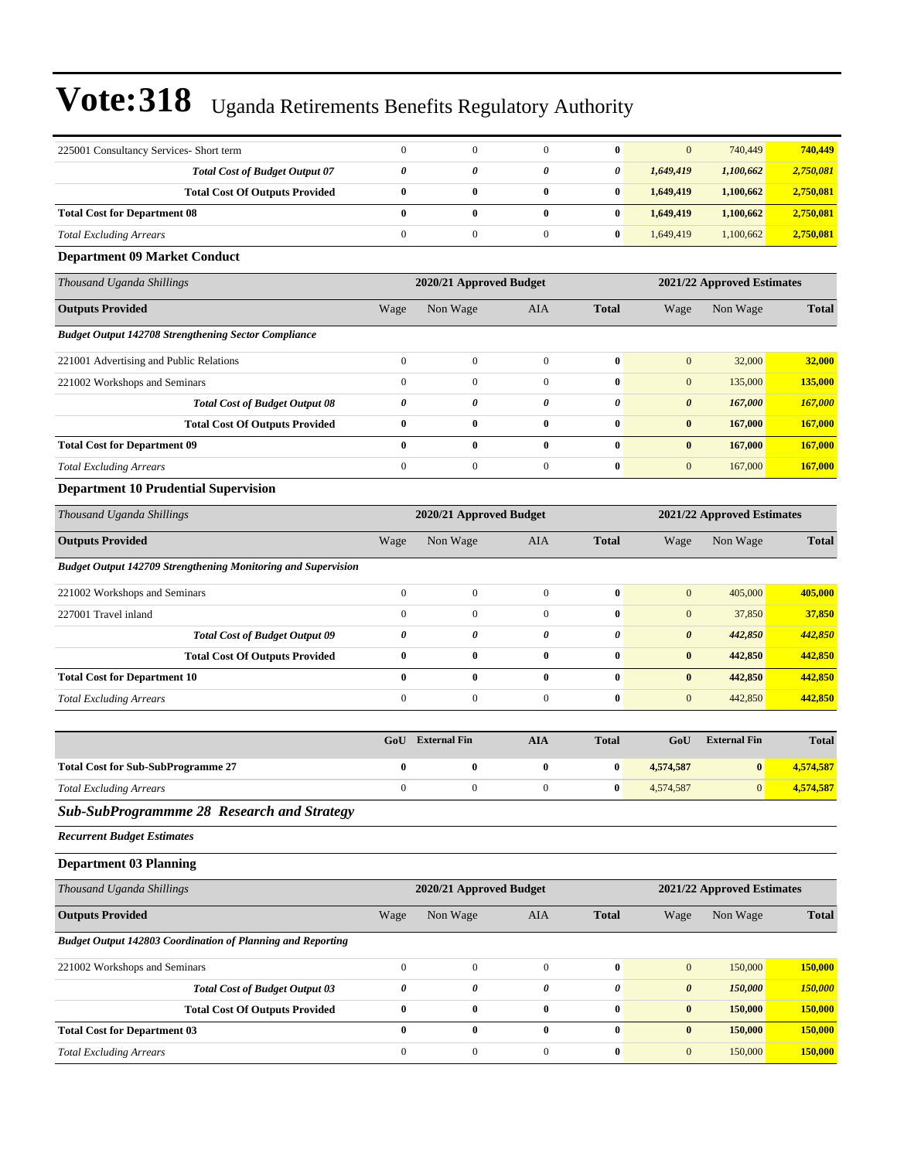| 225001 Consultancy Services- Short term                              | $\mathbf{0}$     | $\mathbf{0}$            | $\mathbf{0}$          | $\bf{0}$                   | $\mathbf{0}$          | 740,449                    | 740,449      |
|----------------------------------------------------------------------|------------------|-------------------------|-----------------------|----------------------------|-----------------------|----------------------------|--------------|
| <b>Total Cost of Budget Output 07</b>                                | $\pmb{\theta}$   | 0                       | 0                     | 0                          | 1,649,419             | 1,100,662                  | 2,750,081    |
| <b>Total Cost Of Outputs Provided</b>                                | $\pmb{0}$        | $\bf{0}$                | $\bf{0}$              | $\bf{0}$                   | 1,649,419             | 1,100,662                  | 2,750,081    |
| <b>Total Cost for Department 08</b>                                  | $\bf{0}$         | $\bf{0}$                | $\bf{0}$              | $\bf{0}$                   | 1,649,419             | 1,100,662                  | 2,750,081    |
| <b>Total Excluding Arrears</b>                                       | $\boldsymbol{0}$ | $\boldsymbol{0}$        | $\mathbf{0}$          | $\bf{0}$                   | 1,649,419             | 1,100,662                  | 2,750,081    |
| <b>Department 09 Market Conduct</b>                                  |                  |                         |                       |                            |                       |                            |              |
| Thousand Uganda Shillings                                            |                  | 2020/21 Approved Budget |                       |                            |                       | 2021/22 Approved Estimates |              |
| <b>Outputs Provided</b>                                              | Wage             | Non Wage                | AIA                   | <b>Total</b>               | Wage                  | Non Wage                   | <b>Total</b> |
| <b>Budget Output 142708 Strengthening Sector Compliance</b>          |                  |                         |                       |                            |                       |                            |              |
| 221001 Advertising and Public Relations                              | $\boldsymbol{0}$ | $\boldsymbol{0}$        | $\mathbf{0}$          | $\bf{0}$                   | $\mathbf{0}$          | 32,000                     | 32,000       |
| 221002 Workshops and Seminars                                        | $\boldsymbol{0}$ | $\boldsymbol{0}$        | $\mathbf{0}$          | $\bf{0}$                   | $\mathbf{0}$          | 135,000                    | 135,000      |
| <b>Total Cost of Budget Output 08</b>                                | 0                | 0                       | 0                     | $\pmb{\theta}$             | $\pmb{\theta}$        | 167,000                    | 167,000      |
| <b>Total Cost Of Outputs Provided</b>                                | $\bf{0}$         | $\bf{0}$                | $\bf{0}$              | $\bf{0}$                   | $\bf{0}$              | 167,000                    | 167,000      |
| <b>Total Cost for Department 09</b>                                  | $\bf{0}$         | $\bf{0}$                | $\bf{0}$              | $\bf{0}$                   | $\bf{0}$              | 167,000                    | 167,000      |
| <b>Total Excluding Arrears</b>                                       | $\boldsymbol{0}$ | $\boldsymbol{0}$        | $\mathbf{0}$          | $\bf{0}$                   | $\mathbf{0}$          | 167,000                    | 167,000      |
| <b>Department 10 Prudential Supervision</b>                          |                  |                         |                       |                            |                       |                            |              |
| Thousand Uganda Shillings                                            |                  | 2020/21 Approved Budget |                       | 2021/22 Approved Estimates |                       |                            |              |
| <b>Outputs Provided</b>                                              | Wage             | Non Wage                | <b>AIA</b>            | <b>Total</b>               | Wage                  | Non Wage                   | <b>Total</b> |
| <b>Budget Output 142709 Strengthening Monitoring and Supervision</b> |                  |                         |                       |                            |                       |                            |              |
| 221002 Workshops and Seminars                                        | $\boldsymbol{0}$ | $\boldsymbol{0}$        | $\mathbf{0}$          | $\bf{0}$                   | $\mathbf{0}$          | 405,000                    | 405,000      |
| 227001 Travel inland                                                 | $\boldsymbol{0}$ | $\boldsymbol{0}$        | $\mathbf{0}$          | $\pmb{0}$                  | $\boldsymbol{0}$      | 37,850                     | 37,850       |
| <b>Total Cost of Budget Output 09</b>                                | 0                | 0                       | 0                     | 0                          | $\boldsymbol{\theta}$ | 442,850                    | 442,850      |
| <b>Total Cost Of Outputs Provided</b>                                | $\bf{0}$         | $\bf{0}$                | $\bf{0}$              | $\bf{0}$                   | $\bf{0}$              | 442,850                    | 442,850      |
| <b>Total Cost for Department 10</b>                                  | $\bf{0}$         | $\bf{0}$                | $\bf{0}$              | $\bf{0}$                   | $\bf{0}$              | 442,850                    | 442,850      |
| <b>Total Excluding Arrears</b>                                       | $\boldsymbol{0}$ | $\boldsymbol{0}$        | $\mathbf{0}$          | $\bf{0}$                   | $\mathbf{0}$          | 442,850                    | 442,850      |
|                                                                      | GoU              | <b>External Fin</b>     | <b>AIA</b>            | <b>Total</b>               | GoU                   | <b>External Fin</b>        | <b>Total</b> |
| <b>Total Cost for Sub-SubProgramme 27</b>                            | $\bf{0}$         | $\bf{0}$                | $\bf{0}$              | $\bf{0}$                   | 4,574,587             | $\bf{0}$                   | 4,574,587    |
| <b>Total Excluding Arrears</b>                                       | $\boldsymbol{0}$ | $\boldsymbol{0}$        | $\boldsymbol{0}$      | $\bf{0}$                   | 4,574,587             | $\mathbf{0}$               | 4,574,587    |
| <b>Sub-SubProgrammme 28 Research and Strategy</b>                    |                  |                         |                       |                            |                       |                            |              |
| <b>Recurrent Budget Estimates</b>                                    |                  |                         |                       |                            |                       |                            |              |
| <b>Department 03 Planning</b>                                        |                  |                         |                       |                            |                       |                            |              |
| Thousand Uganda Shillings                                            |                  | 2020/21 Approved Budget |                       |                            |                       | 2021/22 Approved Estimates |              |
| <b>Outputs Provided</b>                                              | Wage             | Non Wage                | AIA                   | <b>Total</b>               | Wage                  | Non Wage                   | <b>Total</b> |
| Budget Output 142803 Coordination of Planning and Reporting          |                  |                         |                       |                            |                       |                            |              |
| 221002 Workshops and Seminars                                        | $\boldsymbol{0}$ | $\boldsymbol{0}$        | $\mathbf{0}$          | $\bf{0}$                   | $\mathbf{0}$          | 150,000                    | 150,000      |
| <b>Total Cost of Budget Output 03</b>                                | $\pmb{\theta}$   | $\pmb{\theta}$          | $\boldsymbol{\theta}$ | $\boldsymbol{\theta}$      | $\boldsymbol{\theta}$ | 150,000                    | 150,000      |
| <b>Total Cost Of Outputs Provided</b>                                | $\pmb{0}$        | $\bf{0}$                | $\boldsymbol{0}$      | $\pmb{0}$                  | $\pmb{0}$             | 150,000                    | 150,000      |
| <b>Total Cost for Department 03</b>                                  | $\pmb{0}$        | $\bf{0}$                | $\bf{0}$              | $\bf{0}$                   | $\bf{0}$              | 150,000                    | 150,000      |
| <b>Total Excluding Arrears</b>                                       | $\boldsymbol{0}$ | $\boldsymbol{0}$        | $\boldsymbol{0}$      | $\pmb{0}$                  | $\boldsymbol{0}$      | 150,000                    | 150,000      |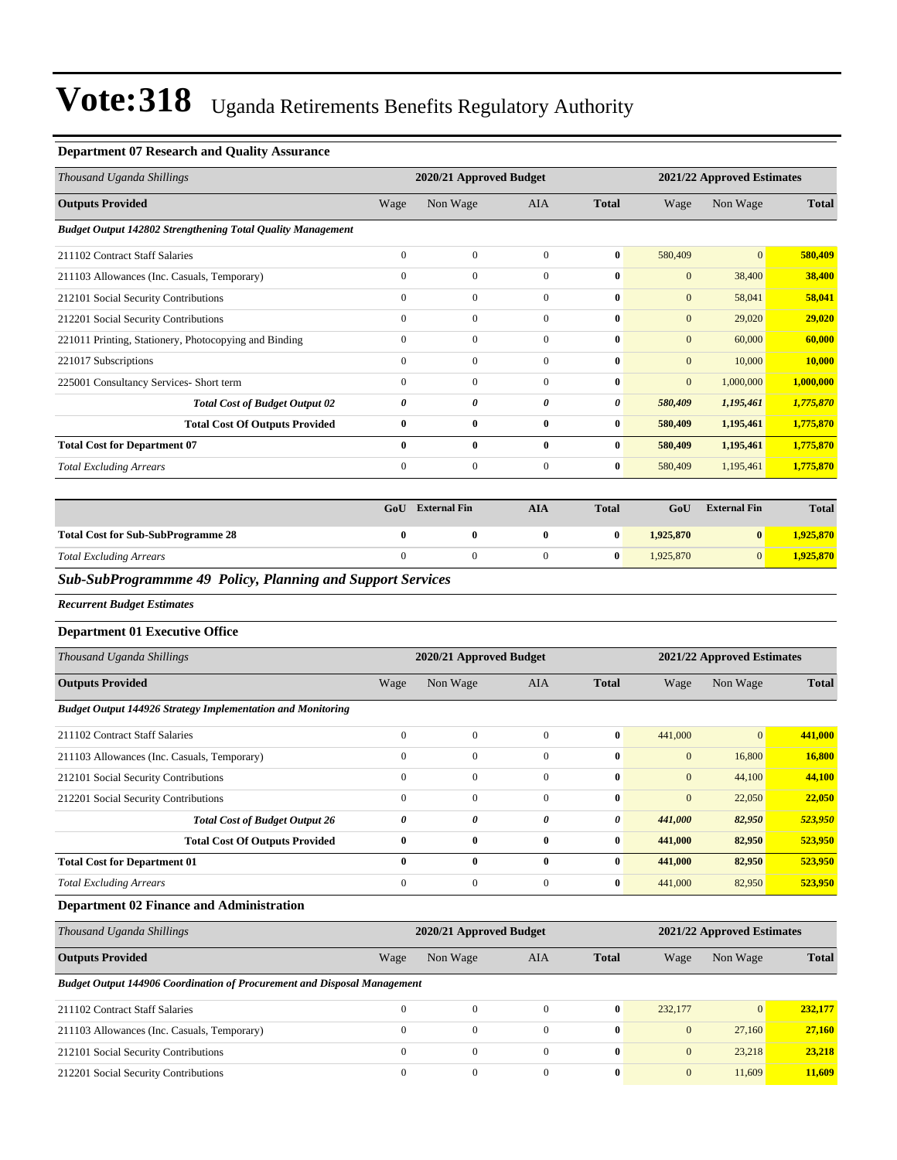#### **Department 07 Research and Quality Assurance**

| Thousand Uganda Shillings                                          |              | 2020/21 Approved Budget |              |              |              | 2021/22 Approved Estimates |              |  |
|--------------------------------------------------------------------|--------------|-------------------------|--------------|--------------|--------------|----------------------------|--------------|--|
| <b>Outputs Provided</b>                                            | Wage         | Non Wage                | <b>AIA</b>   | <b>Total</b> | Wage         | Non Wage                   | <b>Total</b> |  |
| <b>Budget Output 142802 Strengthening Total Quality Management</b> |              |                         |              |              |              |                            |              |  |
| 211102 Contract Staff Salaries                                     | $\mathbf{0}$ | $\Omega$                | $\Omega$     | $\bf{0}$     | 580,409      | $\overline{0}$             | 580,409      |  |
| 211103 Allowances (Inc. Casuals, Temporary)                        | $\mathbf{0}$ | $\Omega$                | $\Omega$     | $\mathbf{0}$ | $\mathbf{0}$ | 38,400                     | 38,400       |  |
| 212101 Social Security Contributions                               | $\mathbf{0}$ | $\Omega$                | $\Omega$     | $\bf{0}$     | $\mathbf{0}$ | 58,041                     | 58,041       |  |
| 212201 Social Security Contributions                               | $\mathbf{0}$ | $\mathbf{0}$            | $\mathbf{0}$ | $\bf{0}$     | $\mathbf{0}$ | 29,020                     | 29,020       |  |
| 221011 Printing, Stationery, Photocopying and Binding              | $\mathbf{0}$ | $\mathbf{0}$            | $\Omega$     | $\bf{0}$     | $\mathbf{0}$ | 60,000                     | 60,000       |  |
| 221017 Subscriptions                                               | $\mathbf{0}$ | $\mathbf{0}$            | $\mathbf{0}$ | $\bf{0}$     | $\mathbf{0}$ | 10,000                     | 10,000       |  |
| 225001 Consultancy Services- Short term                            | $\mathbf{0}$ | $\mathbf{0}$            | $\Omega$     | $\bf{0}$     | $\mathbf{0}$ | 1,000,000                  | 1,000,000    |  |
| <b>Total Cost of Budget Output 02</b>                              | 0            | 0                       | 0            | 0            | 580,409      | 1,195,461                  | 1,775,870    |  |
| <b>Total Cost Of Outputs Provided</b>                              | $\bf{0}$     | $\bf{0}$                | $\bf{0}$     | $\bf{0}$     | 580,409      | 1,195,461                  | 1,775,870    |  |
| <b>Total Cost for Department 07</b>                                | $\bf{0}$     | $\mathbf{0}$            | $\bf{0}$     | $\bf{0}$     | 580,409      | 1,195,461                  | 1,775,870    |  |
| <b>Total Excluding Arrears</b>                                     | $\mathbf{0}$ | $\mathbf{0}$            | $\mathbf{0}$ | $\bf{0}$     | 580,409      | 1,195,461                  | 1,775,870    |  |

|                                           | GoU | <b>External Fin</b> | AIA | <b>Total</b> | GoU       | <b>External Fin</b> | <b>Total</b> |
|-------------------------------------------|-----|---------------------|-----|--------------|-----------|---------------------|--------------|
| <b>Total Cost for Sub-SubProgramme 28</b> |     |                     |     |              | 1,925,870 | 0                   | 1,925,870    |
| <b>Total Excluding Arrears</b>            |     |                     |     |              | 1.925,870 |                     | 1,925,870    |

#### *Sub-SubProgrammme 49 Policy, Planning and Support Services*

*Recurrent Budget Estimates*

#### **Department 01 Executive Office**

| Thousand Uganda Shillings                                          |              | 2020/21 Approved Budget |              |                       | 2021/22 Approved Estimates |                 |              |  |
|--------------------------------------------------------------------|--------------|-------------------------|--------------|-----------------------|----------------------------|-----------------|--------------|--|
| <b>Outputs Provided</b>                                            | Wage         | Non Wage                | <b>AIA</b>   | <b>Total</b>          | Wage                       | Non Wage        | <b>Total</b> |  |
| <b>Budget Output 144926 Strategy Implementation and Monitoring</b> |              |                         |              |                       |                            |                 |              |  |
| 211102 Contract Staff Salaries                                     | $\mathbf{0}$ | $\Omega$                | $\Omega$     | $\bf{0}$              | 441,000                    | $\vert 0 \vert$ | 441,000      |  |
| 211103 Allowances (Inc. Casuals, Temporary)                        | $\mathbf{0}$ | $\Omega$                | $\Omega$     | $\mathbf{0}$          | $\mathbf{0}$               | 16,800          | 16,800       |  |
| 212101 Social Security Contributions                               | $\mathbf{0}$ | $\mathbf{0}$            | $\mathbf{0}$ | $\mathbf{0}$          | $\mathbf{0}$               | 44,100          | 44,100       |  |
| 212201 Social Security Contributions                               | $\mathbf{0}$ | $\mathbf{0}$            | $\mathbf{0}$ | $\bf{0}$              | $\mathbf{0}$               | 22,050          | 22,050       |  |
| <b>Total Cost of Budget Output 26</b>                              | 0            | 0                       | 0            | $\boldsymbol{\theta}$ | 441,000                    | 82,950          | 523,950      |  |
| <b>Total Cost Of Outputs Provided</b>                              | $\bf{0}$     | $\bf{0}$                | $\bf{0}$     | $\bf{0}$              | 441,000                    | 82,950          | 523,950      |  |
| <b>Total Cost for Department 01</b>                                | $\bf{0}$     | $\mathbf{0}$            | $\mathbf{0}$ | $\bf{0}$              | 441,000                    | 82,950          | 523,950      |  |
| <b>Total Excluding Arrears</b>                                     | $\mathbf{0}$ | $\mathbf{0}$            | $\mathbf{0}$ | $\bf{0}$              | 441,000                    | 82,950          | 523,950      |  |

#### **Department 02 Finance and Administration**

| Thousand Uganda Shillings                                                       | 2020/21 Approved Budget<br>2021/22 Approved Estimates |              |                |              |                |                |              |
|---------------------------------------------------------------------------------|-------------------------------------------------------|--------------|----------------|--------------|----------------|----------------|--------------|
| <b>Outputs Provided</b>                                                         | Wage                                                  | Non Wage     | AIA            | <b>Total</b> | Wage           | Non Wage       | <b>Total</b> |
| <b>Budget Output 144906 Coordination of Procurement and Disposal Management</b> |                                                       |              |                |              |                |                |              |
| 211102 Contract Staff Salaries                                                  | $\mathbf{0}$                                          | $\Omega$     | $\overline{0}$ | $\bf{0}$     | 232,177        | $\overline{0}$ | 232,177      |
| 211103 Allowances (Inc. Casuals, Temporary)                                     | $\Omega$                                              | $\Omega$     | $\mathbf{0}$   | $\bf{0}$     | $\mathbf{0}$   | 27,160         | 27,160       |
| 212101 Social Security Contributions                                            | $\Omega$                                              | $\Omega$     | $\mathbf{0}$   | $\mathbf{0}$ | $\overline{0}$ | 23,218         | 23.218       |
| 212201 Social Security Contributions                                            | $\Omega$                                              | $\mathbf{0}$ | $\mathbf{0}$   | $\mathbf{0}$ | $\overline{0}$ | 11.609         | 11,609       |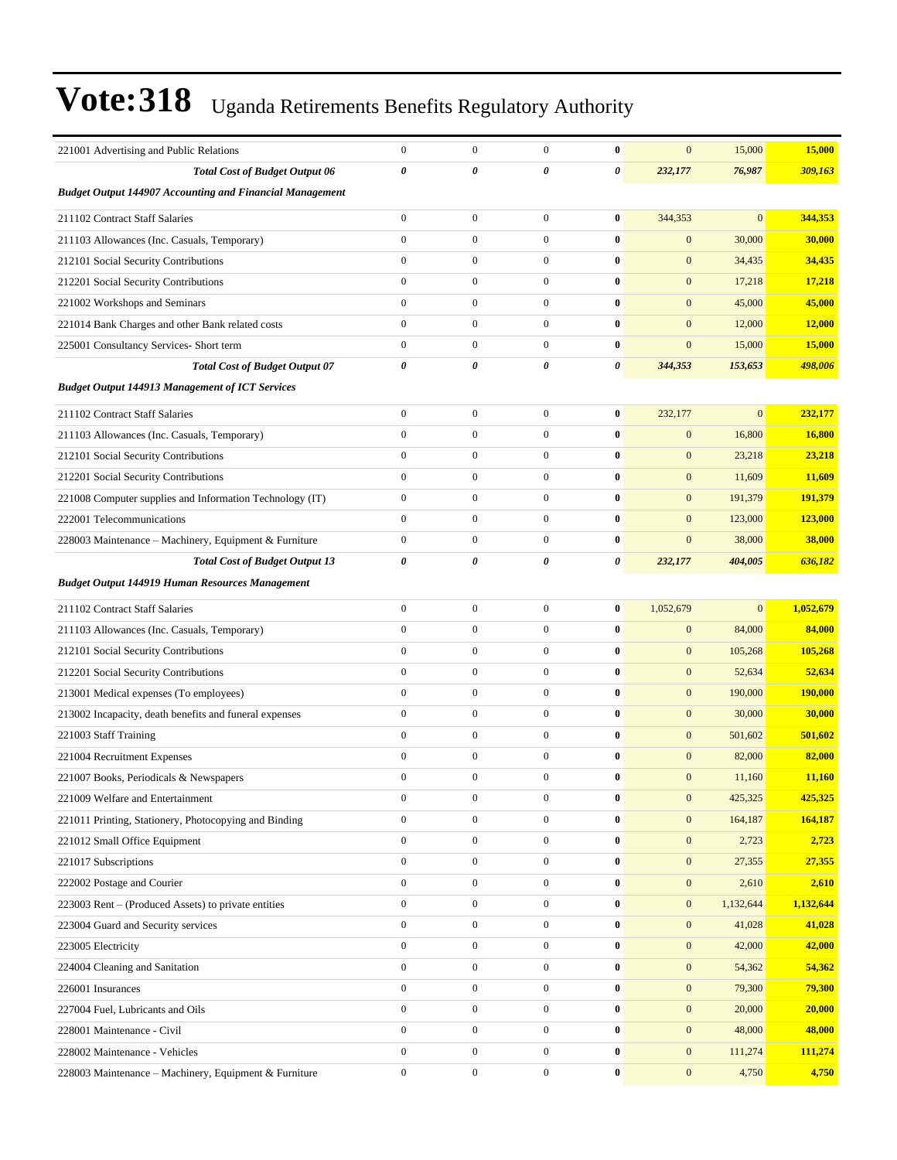| 221001 Advertising and Public Relations                         | $\boldsymbol{0}$ | $\boldsymbol{0}$ | $\mathbf{0}$     | $\bf{0}$  | $\mathbf{0}$     | 15,000         | 15,000    |
|-----------------------------------------------------------------|------------------|------------------|------------------|-----------|------------------|----------------|-----------|
| <b>Total Cost of Budget Output 06</b>                           | 0                | 0                | 0                | 0         | 232,177          | 76,987         | 309,163   |
| <b>Budget Output 144907 Accounting and Financial Management</b> |                  |                  |                  |           |                  |                |           |
| 211102 Contract Staff Salaries                                  | $\boldsymbol{0}$ | $\boldsymbol{0}$ | $\boldsymbol{0}$ | $\bf{0}$  | 344,353          | $\mathbf{0}$   | 344,353   |
| 211103 Allowances (Inc. Casuals, Temporary)                     | $\overline{0}$   | $\boldsymbol{0}$ | $\boldsymbol{0}$ | $\bf{0}$  | $\mathbf{0}$     | 30,000         | 30,000    |
| 212101 Social Security Contributions                            | $\boldsymbol{0}$ | $\boldsymbol{0}$ | $\boldsymbol{0}$ | $\bf{0}$  | $\mathbf{0}$     | 34,435         | 34,435    |
| 212201 Social Security Contributions                            | $\boldsymbol{0}$ | $\boldsymbol{0}$ | $\boldsymbol{0}$ | $\bf{0}$  | $\mathbf{0}$     | 17,218         | 17,218    |
| 221002 Workshops and Seminars                                   | $\mathbf{0}$     | $\boldsymbol{0}$ | $\boldsymbol{0}$ | $\bf{0}$  | $\mathbf{0}$     | 45,000         | 45,000    |
| 221014 Bank Charges and other Bank related costs                | $\mathbf{0}$     | $\boldsymbol{0}$ | $\boldsymbol{0}$ | $\bf{0}$  | $\mathbf{0}$     | 12,000         | 12,000    |
| 225001 Consultancy Services- Short term                         | $\overline{0}$   | $\boldsymbol{0}$ | $\boldsymbol{0}$ | $\bf{0}$  | $\mathbf{0}$     | 15,000         | 15,000    |
| <b>Total Cost of Budget Output 07</b>                           | $\pmb{\theta}$   | 0                | 0                | 0         | 344,353          | 153,653        | 498,006   |
| <b>Budget Output 144913 Management of ICT Services</b>          |                  |                  |                  |           |                  |                |           |
|                                                                 |                  |                  |                  |           |                  |                |           |
| 211102 Contract Staff Salaries                                  | $\boldsymbol{0}$ | $\boldsymbol{0}$ | $\boldsymbol{0}$ | $\bf{0}$  | 232,177          | $\overline{0}$ | 232,177   |
| 211103 Allowances (Inc. Casuals, Temporary)                     | $\mathbf{0}$     | $\overline{0}$   | $\boldsymbol{0}$ | $\bf{0}$  | $\mathbf{0}$     | 16,800         | 16,800    |
| 212101 Social Security Contributions                            | $\boldsymbol{0}$ | $\boldsymbol{0}$ | $\boldsymbol{0}$ | $\bf{0}$  | $\mathbf{0}$     | 23,218         | 23,218    |
| 212201 Social Security Contributions                            | $\mathbf{0}$     | $\boldsymbol{0}$ | $\boldsymbol{0}$ | $\bf{0}$  | $\mathbf{0}$     | 11,609         | 11,609    |
| 221008 Computer supplies and Information Technology (IT)        | $\boldsymbol{0}$ | $\boldsymbol{0}$ | $\boldsymbol{0}$ | $\bf{0}$  | $\mathbf{0}$     | 191,379        | 191,379   |
| 222001 Telecommunications                                       | $\overline{0}$   | $\boldsymbol{0}$ | $\boldsymbol{0}$ | $\bf{0}$  | $\mathbf{0}$     | 123,000        | 123,000   |
| 228003 Maintenance - Machinery, Equipment & Furniture           | $\boldsymbol{0}$ | $\mathbf{0}$     | $\overline{0}$   | $\bf{0}$  | $\mathbf{0}$     | 38,000         | 38,000    |
| <b>Total Cost of Budget Output 13</b>                           | 0                | 0                | 0                | 0         | 232,177          | 404,005        | 636,182   |
| <b>Budget Output 144919 Human Resources Management</b>          |                  |                  |                  |           |                  |                |           |
| 211102 Contract Staff Salaries                                  | $\mathbf{0}$     | $\boldsymbol{0}$ | $\boldsymbol{0}$ | $\bf{0}$  | 1,052,679        | $\mathbf{0}$   | 1,052,679 |
| 211103 Allowances (Inc. Casuals, Temporary)                     | $\boldsymbol{0}$ | $\boldsymbol{0}$ | $\boldsymbol{0}$ | $\bf{0}$  | $\mathbf{0}$     | 84,000         | 84,000    |
| 212101 Social Security Contributions                            | $\boldsymbol{0}$ | $\boldsymbol{0}$ | $\boldsymbol{0}$ | $\bf{0}$  | $\mathbf{0}$     | 105,268        | 105,268   |
| 212201 Social Security Contributions                            | $\mathbf{0}$     | $\overline{0}$   | $\boldsymbol{0}$ | $\bf{0}$  | $\mathbf{0}$     | 52,634         | 52,634    |
| 213001 Medical expenses (To employees)                          | $\mathbf{0}$     | $\boldsymbol{0}$ | $\boldsymbol{0}$ | $\bf{0}$  | $\mathbf{0}$     | 190,000        | 190,000   |
| 213002 Incapacity, death benefits and funeral expenses          | $\mathbf{0}$     | $\boldsymbol{0}$ | $\boldsymbol{0}$ | $\bf{0}$  | $\mathbf{0}$     | 30,000         | 30,000    |
| 221003 Staff Training                                           | $\mathbf{0}$     | $\mathbf{0}$     | $\boldsymbol{0}$ | $\bf{0}$  | $\mathbf{0}$     | 501,602        | 501,602   |
| 221004 Recruitment Expenses                                     | $\boldsymbol{0}$ | $\boldsymbol{0}$ | $\boldsymbol{0}$ | $\bf{0}$  | $\mathbf{0}$     | 82,000         | 82,000    |
| 221007 Books, Periodicals & Newspapers                          | $\boldsymbol{0}$ | $\boldsymbol{0}$ | $\mathbf{0}$     | $\bf{0}$  | $\mathbf{0}$     | 11,160         | 11,160    |
| 221009 Welfare and Entertainment                                | 0                | $\boldsymbol{0}$ | $\boldsymbol{0}$ | $\pmb{0}$ | $\mathbf{0}$     | 425,325        | 425,325   |
| 221011 Printing, Stationery, Photocopying and Binding           | $\mathbf{0}$     | $\overline{0}$   | $\boldsymbol{0}$ | $\bf{0}$  | $\mathbf{0}$     | 164,187        | 164,187   |
| 221012 Small Office Equipment                                   | $\boldsymbol{0}$ | $\boldsymbol{0}$ | $\boldsymbol{0}$ | $\bf{0}$  | $\mathbf{0}$     | 2,723          | 2,723     |
| 221017 Subscriptions                                            | $\overline{0}$   | $\boldsymbol{0}$ | $\boldsymbol{0}$ | $\bf{0}$  | $\mathbf{0}$     | 27,355         | 27,355    |
| 222002 Postage and Courier                                      | $\mathbf{0}$     | $\boldsymbol{0}$ | $\boldsymbol{0}$ | $\bf{0}$  | $\mathbf{0}$     | 2,610          | 2,610     |
| 223003 Rent – (Produced Assets) to private entities             | $\mathbf{0}$     | $\boldsymbol{0}$ | $\overline{0}$   | $\bf{0}$  | $\mathbf{0}$     | 1,132,644      | 1,132,644 |
| 223004 Guard and Security services                              | $\mathbf{0}$     | $\boldsymbol{0}$ | $\boldsymbol{0}$ | $\bf{0}$  | $\boldsymbol{0}$ | 41,028         | 41,028    |
| 223005 Electricity                                              | $\mathbf{0}$     | $\boldsymbol{0}$ | $\boldsymbol{0}$ | $\bf{0}$  | $\mathbf{0}$     | 42,000         | 42,000    |
| 224004 Cleaning and Sanitation                                  | $\mathbf{0}$     | $\boldsymbol{0}$ | $\boldsymbol{0}$ | $\bf{0}$  | $\mathbf{0}$     | 54,362         | 54,362    |
| 226001 Insurances                                               | $\mathbf{0}$     | $\boldsymbol{0}$ | $\boldsymbol{0}$ | $\bf{0}$  | $\mathbf{0}$     | 79,300         | 79,300    |
| 227004 Fuel, Lubricants and Oils                                | $\boldsymbol{0}$ | $\boldsymbol{0}$ | $\overline{0}$   | $\bf{0}$  | $\mathbf{0}$     | 20,000         | 20,000    |
| 228001 Maintenance - Civil                                      | $\mathbf{0}$     | $\boldsymbol{0}$ | $\boldsymbol{0}$ | $\bf{0}$  | $\boldsymbol{0}$ | 48,000         | 48,000    |
| 228002 Maintenance - Vehicles                                   | $\mathbf{0}$     | $\boldsymbol{0}$ | $\boldsymbol{0}$ | $\bf{0}$  | $\mathbf{0}$     | 111,274        | 111,274   |
| 228003 Maintenance - Machinery, Equipment & Furniture           | $\boldsymbol{0}$ | $\boldsymbol{0}$ | $\boldsymbol{0}$ | $\bf{0}$  | $\boldsymbol{0}$ | 4,750          | 4,750     |